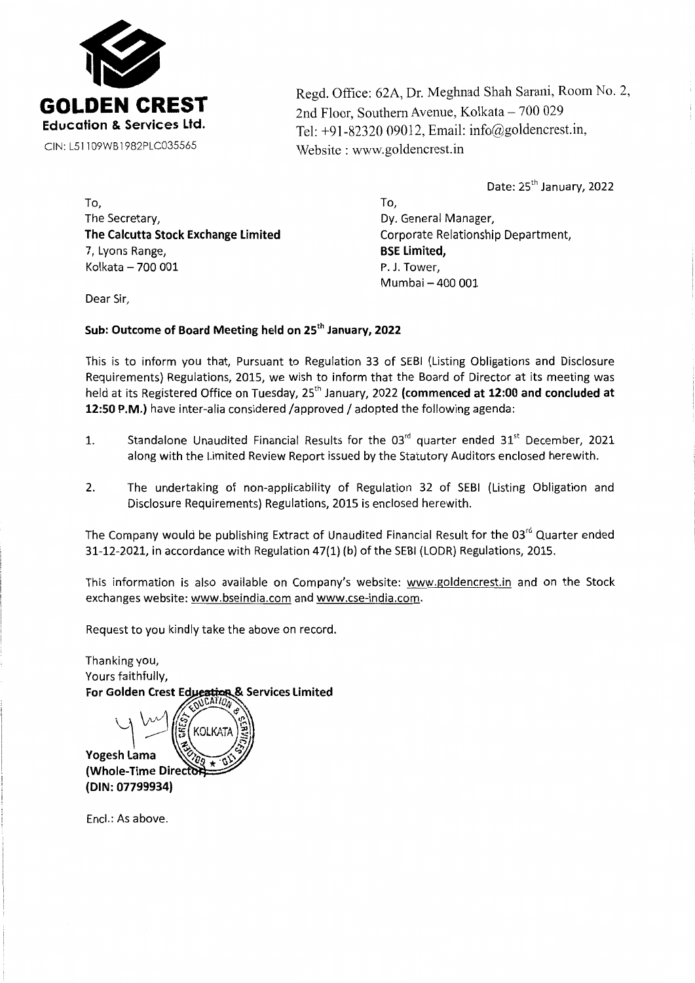

Regd. Office: 62A, Dr. Meghnad Shah Sarani, Room No. 2, 2nd Floor, Southern Avenue, Kolkata - 700 029 Tel: +91-82320 09012, Email: info@goldencrest.in, Website : www.goldencrest.in

Date: 25<sup>th</sup> January, 2022

To, The Secretary, **The Calcutta Stock Exchange Limited**  7, Lyons Range, Kolkata - 700 001

To, Dy. General Manager, Corporate Relationship Department, **BSE Limited,**  P. J. Tower, Mumbai - 400 001

Dear Sir,

## **Sub: Outcome of Board Meeting held on** 25th **January, 2022**

This is to inform you that, Pursuant to Regulation 33 of SEBI (Listing Obligations and Disclosure Requirements) Regulations, 2015, we wish to inform that the Board of Director at its meeting was held at its Registered Office on Tuesday, 25<sup>th</sup> January, 2022 (commenced at 12:00 and concluded at **12:50 P.M.)** have inter-alia considered /approved/ adopted the following agenda:

- 1. Standalone Unaudited Financial Results for the  $03<sup>rd</sup>$  quarter ended  $31<sup>st</sup>$  December, 2021 along with the Limited Review Report issued by the Statutory Auditors enclosed herewith.
- 2. The undertaking of non-applicability of Regulation 32 of SEBI (Listing Obligation and Disclosure Requirements) Regulations, 2015 is enclosed herewith.

The Company would be publishing Extract of Unaudited Financial Result for the 03<sup>rd</sup> Quarter ended 31-12-2021, in accordance with Regulation 47(1) (b) of the SEBI (LODR) Regulations, 2015.

This information is also available on Company's website: www.goldencrest.in and on the Stock exchanges website: www.bseindia.com and www.cse-india.com.

Request to you kindly take the above on record.

Thanking you, Yours faithfully, For Golden Crest Education & Services Limited

Yogesh Lama (Whole-Time Direct (DIN: 07799934)

Encl.: As above.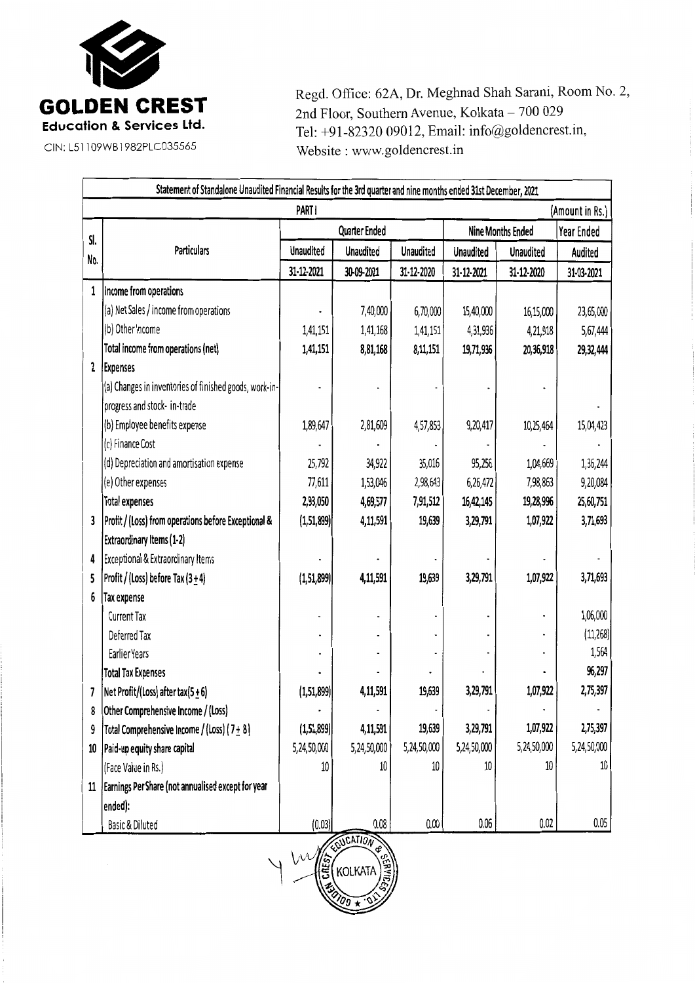

Regd. Office: 62A, Dr. Meghnad Shah Sarani, Room No. 2, 2nd Floor, Southern Avenue, Kolkata - 700 029 Tel: +91-82320 09012, Email: info@goldencrest.in, Website: www.goldencrest.in

| Statement of Standalone Unaudited Financial Results for the 3rd quarter and nine months ended 31st December, 2021 |                                                        |                      |                  |                  |                          |                  |             |
|-------------------------------------------------------------------------------------------------------------------|--------------------------------------------------------|----------------------|------------------|------------------|--------------------------|------------------|-------------|
| PART I<br>(Amount in Rs.)                                                                                         |                                                        |                      |                  |                  |                          |                  |             |
|                                                                                                                   |                                                        | <b>Quarter Ended</b> |                  |                  | <b>Nine Months Ended</b> |                  | Year Ended  |
| SI.                                                                                                               | <b>Particulars</b>                                     | <b>Unaudited</b>     | <b>Unaudited</b> | <b>Unaudited</b> | <b>Unaudited</b>         | <b>Unaudited</b> | Audited     |
| No.                                                                                                               |                                                        | 31-12-2021           | 30-09-2021       | 31-12-2020       | 31-12-2021               | 31-12-2020       | 31-03-2021  |
| 1                                                                                                                 | Income from operations                                 |                      |                  |                  |                          |                  |             |
|                                                                                                                   | (a) Net Sales / income from operations                 |                      | 7,40,000         | 6,70,000         | 15,40,000                | 16,15,000        | 23,65,000   |
|                                                                                                                   | (b) Other Income                                       | 1,41,151             | 1,41,168         | 1,41,151         | 4,31,936                 | 4,21,918         | 5,67,444    |
|                                                                                                                   | Total income from operations (net)                     | 1,41,151             | 8,81,168         | 8,11,151         | 19,71,936                | 20,36,918        | 29,32,444   |
| $\overline{2}$                                                                                                    | <b>Expenses</b>                                        |                      |                  |                  |                          |                  |             |
|                                                                                                                   | (a) Changes in inventories of finished goods, work-in- |                      |                  |                  |                          |                  |             |
|                                                                                                                   | progress and stock- in-trade                           |                      |                  |                  |                          |                  |             |
|                                                                                                                   | (b) Employee benefits expense                          | 1,89,647             | 2,81,609         | 4,57,853         | 9,20,417                 | 10,25,464        | 15,04,423   |
|                                                                                                                   | (c) Finance Cost                                       |                      |                  |                  |                          |                  |             |
|                                                                                                                   | (d) Depreciation and amortisation expense              | 25,792               | 34,922           | 35,016           | 95,256                   | 1,04,669         | 1,36,244    |
|                                                                                                                   | (e) Other expenses                                     | 77,611               | 1,53,046         | 2,98,643         | 6,26,472                 | 7,98,863         | 9,20,084    |
|                                                                                                                   | <b>Total expenses</b>                                  | 2,93,050             | 4,69,577         | 7,91,512         | 16,42,145                | 19,28,996        | 25,60,751   |
| 3                                                                                                                 | Profit / (Loss) from operations before Exceptional &   | (1,51,899)           | 4,11,591         | 19,639           | 3,29,791                 | 1,07,922         | 3,71,693    |
|                                                                                                                   | Extraordinary Items (1-2)                              |                      |                  |                  |                          |                  |             |
| 4                                                                                                                 | Exceptional & Extraordinary Items                      |                      |                  |                  |                          |                  |             |
| 5                                                                                                                 | Profit / (Loss) before Tax $(3+4)$                     | (1,51,899)           | 4,11,591         | 19,639           | 3,29,791                 | 1,07,922         | 3,71,693    |
| 6                                                                                                                 | <b>Tax expense</b>                                     |                      |                  |                  |                          |                  |             |
|                                                                                                                   | <b>Current Tax</b>                                     |                      |                  |                  |                          |                  | 1,06,000    |
|                                                                                                                   | Deferred Tax                                           |                      |                  |                  |                          |                  | (11, 268)   |
|                                                                                                                   | Earlier Years                                          |                      |                  |                  |                          |                  | 1,564       |
|                                                                                                                   | <b>Total Tax Expenses</b>                              |                      |                  |                  |                          |                  | 96,297      |
| 7                                                                                                                 | Net Profit/(Loss) after tax(5 $\pm$ 6)                 | (1, 51, 899)         | 4,11,591         | 19,639           | 3,29,791                 | 1,07,922         | 2,75,397    |
| 8                                                                                                                 | Other Comprehensive Income / (Loss)                    |                      |                  |                  |                          |                  |             |
| 9                                                                                                                 | Total Comprehensive Income / (Loss) (7+8)              | (1, 51, 899)         | 4,11,591         | 19,639           | 3,29,791                 | 1,07,922         | 2,75,397    |
| 10                                                                                                                | Paid-up equity share capital                           | 5,24,50,000          | 5,24,50,000      | 5,24,50,000      | 5,24,50,000              | 5,24,50,000      | 5,24,50,000 |
|                                                                                                                   | (Face Value in Rs.)                                    | 10                   | 10               | 10               | 10                       | 10               | $10\,$      |
| 11                                                                                                                | Earnings Per Share (not annualised except for year     |                      |                  |                  |                          |                  |             |
|                                                                                                                   | ended):                                                |                      |                  |                  |                          |                  |             |
|                                                                                                                   | Basic & Diluted                                        | (0.03)               | 0.08             | 0.00             | 0.06                     | 0.02             | 0.05        |

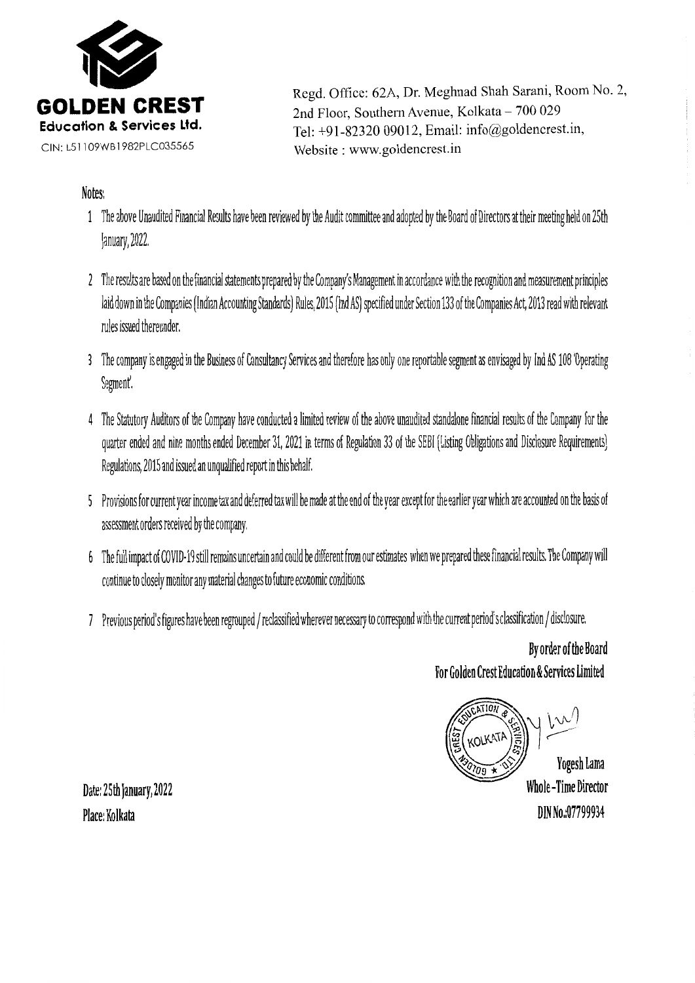

Regd. Office: 62A, Dr. Meghnad Shah Sarani, Room No. 2, 2nd Floor, Southern Avenue, Kolkata - 700 029 Tel: +91-82320 09012, Email: info@goldencrest.in, Website: www.goldencrest.in

## Notes:

- 1 The above Unaudited Financial Results have been reviewed by the Audit committee and adopted by the Board of Directors at their meeting held on 25th January, *ion*
- 2 The results are based on the financial statements prepared by the Company's Management in accordance with the recognition and measurement principles laid down in the Companies (Indian Accounting Standards) Rules, 2015 (Ind AS) specified under Section 133 of the Companies Act, 2013 read with relevant rules issued thereunder.
- 3 The company is engaged in the Business of Consultancy Services and therefore has only one reportable segment as envisaged by Ind AS 108'Operating Segment'.
- 4 The Statutory Auditors of the Company have conducted a limited review of the above unaudited standalone financial results of the Company for the quarter ended and nine months ended December 31, 2021 in terms of Regulation 33 of the SEBI (Listing Obligations and Disclosure Requirements) Regulations, 2015 and issued an unqualified report in this behalf.
- 5 Provisions for current year income tax and deferred tax will be made atthe end of the year except for the earller year which are accounted on the basis of assessment orders received by the company.
- 6 The full impact of COVID-19 still remains uncertain and could be different from our estimates when we prepared these financial results. The Company will continue to closely monitor any material changes to future economic conditions.
- 7 Previous period's figures have been regrouped/ reclassified wherever necessary to correspond with the current period's classification/ disclosure.

By order of the Board For Golden Crest Education & Services Limited

Yogesh Lama **Whole-Time Director** DIN No.:07799934

Date: 25th January, 2022 Place: Kolkata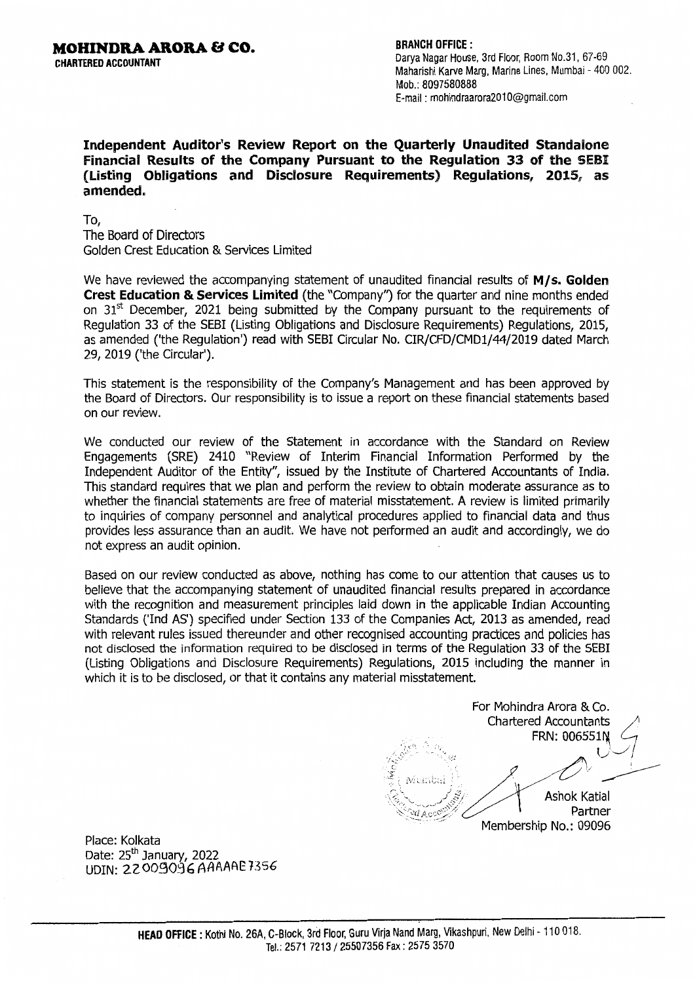CHARTERED ACCOUNTANT

BRANCH OFFICE :

Darya Nagar House, 3rd Floor, Room No.31, 67-69 Maharishi Karve Marg, Marine Lines, Mumbai - 400 002. Mob.: 8097580888 E-mail: mohindraarora2010@gmail.com

Independent Auditor's Review Report on the Quarterly Unaudited Standaione Financial Results of the Company Pursuant to the Regulation 33 of the SEBI (Listing Obligations and Disclosure Requirements) Requlations, 2015. as amended.

To, The Board of Directors Golden Crest Education & Services Limited

We have reviewed the accompanying statement of unaudited financial results of  $M/s$ . Golden Crest Education & Services Limited (the "Company") for the quarter and nine months ended on  $31<sup>st</sup>$  December, 2021 being submitted by the Company pursuant to the requirements of Regulation 33 of the SEBI (Listing Obligations and Disclosure Requirements) Regulations, 2015, as amended ('the Regulation') read with SEBI Circular No. CIR/CFD/CMDl/44/2019 dated March 29, 2019 ('the Circular').

This statement is the responsibility of the Company's Management and has been approved by the Board of Directors. Our responsibility is to issue a report on these financial statements based on our review.

We conducted our review of the Statement in accordance with the Standard on Review Engagements (SRE) 2410 "Review of Interim Financial Information Performed by the Independent Auditor of the Entity", issued by the Institute of Chartered Accountants of India. This standard requires that we plan and perform the review to obtain moderate assurance as to whether the financial statements are free of material misstatement. A review is limited primarily to inquiries of company personnel and analytical procedures applied to financial data and thus provides less assurance than an audit. We have not performed an audit and accordingly, we do not express an audit opinion.

Based on our review conducted as above, nothing has come to our attention that causes us to believe that the accompanying statement of unaudited financial results prepared in accordance with the recognition and measurement principles laid down in the applicable Indian Accounting Standards ('Ind AS') specified under Section 133 of the Companies Act, 2013 as amended, read with relevant rules issued thereunder and other recognised accounting practices and policies has not disclosed the information required to be disclosed in terms of the Regulation 33 of the SEBI (Listing Obligations and Disclosure Requirements) Regulations, 2015 including the manner in which it is to be disclosed, or that it contains any material misstatement.

For Mohindra Arora & Co. Chartered Accountants. FRN: 006551N - .. , *•;:* l\_.,1 -.\_/ <sup>I</sup> **-:**<br>**FRI**<br>Exposition is ...<br>Contract the set of the set of the set of the set of the set of the set of the set of the set of the set of the set of the set of the set of the set of the set of the set of the set of the set <sup>1</sup>*/V* A~ '/ \_\_\_\_-:- Ashok Katial  $Partner$ Membership No.: 09096

Place: Kolkata Date:  $25<sup>th</sup>$  January, 2022 UDIN: 22009096 AAAAAE 7356